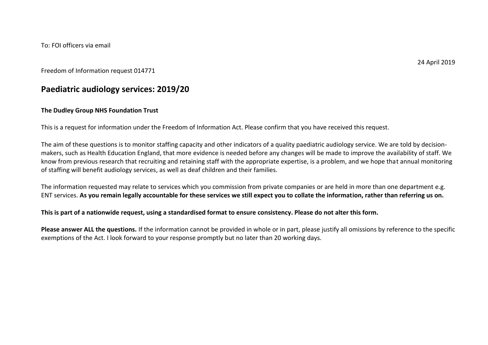To: FOI officers via email

24 April 2019

### Freedom of Information request 014771

# **Paediatric audiology services: 2019/20**

### **The Dudley Group NHS Foundation Trust**

This is a request for information under the Freedom of Information Act. Please confirm that you have received this request.

The aim of these questions is to monitor staffing capacity and other indicators of a quality paediatric audiology service. We are told by decisionmakers, such as Health Education England, that more evidence is needed before any changes will be made to improve the availability of staff. We know from previous research that recruiting and retaining staff with the appropriate expertise, is a problem, and we hope that annual monitoring of staffing will benefit audiology services, as well as deaf children and their families.

The information requested may relate to services which you commission from private companies or are held in more than one department e.g. ENT services. **As you remain legally accountable for these services we still expect you to collate the information, rather than referring us on.**

**This is part of a nationwide request, using a standardised format to ensure consistency. Please do not alter this form.**

**Please answer ALL the questions.** If the information cannot be provided in whole or in part, please justify all omissions by reference to the specific exemptions of the Act. I look forward to your response promptly but no later than 20 working days.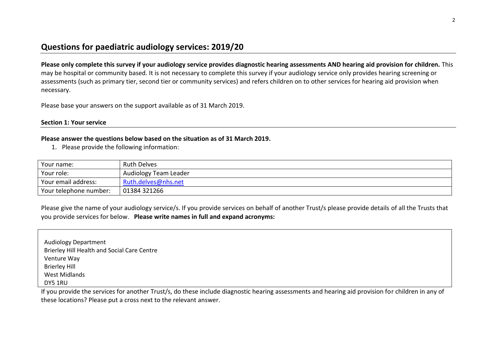# **Questions for paediatric audiology services: 2019/20**

**Please only complete this survey if your audiology service provides diagnostic hearing assessments AND hearing aid provision for children.** This may be hospital or community based. It is not necessary to complete this survey if your audiology service only provides hearing screening or assessments (such as primary tier, second tier or community services) and refers children on to other services for hearing aid provision when necessary.

Please base your answers on the support available as of 31 March 2019.

### **Section 1: Your service**

### **Please answer the questions below based on the situation as of 31 March 2019.**

1. Please provide the following information:

| Your name:             | <b>Ruth Delves</b>    |
|------------------------|-----------------------|
| Your role:             | Audiology Team Leader |
| Your email address:    | Ruth.delves@nhs.net   |
| Your telephone number: | 01384 321266          |

Please give the name of your audiology service/s. If you provide services on behalf of another Trust/s please provide details of all the Trusts that you provide services for below. **Please write names in full and expand acronyms:**

| <b>Audiology Department</b>                 |  |
|---------------------------------------------|--|
| Brierley Hill Health and Social Care Centre |  |
| Venture Way                                 |  |
| <b>Brierley Hill</b>                        |  |
| <b>West Midlands</b>                        |  |
| DY5 1RU                                     |  |

If you provide the services for another Trust/s, do these include diagnostic hearing assessments and hearing aid provision for children in any of these locations? Please put a cross next to the relevant answer.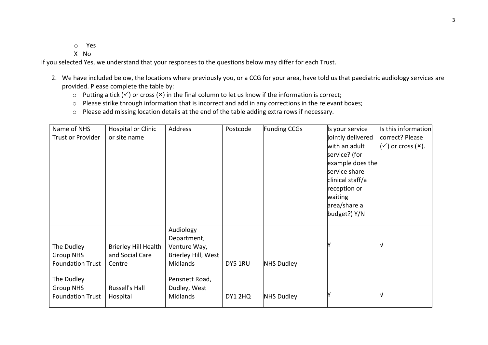o Yes

X No

If you selected Yes, we understand that your responses to the questions below may differ for each Trust.

- 2. We have included below, the locations where previously you, or a CCG for your area, have told us that paediatric audiology services are provided. Please complete the table by:
	- $\circ$  Putting a tick ( $\checkmark$ ) or cross ( $\checkmark$ ) in the final column to let us know if the information is correct;
	- o Please strike through information that is incorrect and add in any corrections in the relevant boxes;
	- o Please add missing location details at the end of the table adding extra rows if necessary.

| Name of NHS<br><b>Trust or Provider</b>                   | <b>Hospital or Clinic</b><br>or site name         | Address                                                                     | Postcode | <b>Funding CCGs</b> | Is your service<br>jointly delivered<br>with an adult<br>service? (for<br>example does the<br>service share<br>clinical staff/a<br>reception or<br>waiting<br>area/share a<br>budget?) Y/N | Is this information<br>correct? Please<br>$(\checkmark)$ or cross $(\star)$ . |
|-----------------------------------------------------------|---------------------------------------------------|-----------------------------------------------------------------------------|----------|---------------------|--------------------------------------------------------------------------------------------------------------------------------------------------------------------------------------------|-------------------------------------------------------------------------------|
| The Dudley<br><b>Group NHS</b><br><b>Foundation Trust</b> | Brierley Hill Health<br>and Social Care<br>Centre | Audiology<br>Department,<br>Venture Way,<br>Brierley Hill, West<br>Midlands | DY5 1RU  | <b>NHS Dudley</b>   |                                                                                                                                                                                            |                                                                               |
| The Dudley<br><b>Group NHS</b><br><b>Foundation Trust</b> | Russell's Hall<br>Hospital                        | Pensnett Road,<br>Dudley, West<br><b>Midlands</b>                           | DY1 2HQ  | <b>NHS Dudley</b>   |                                                                                                                                                                                            |                                                                               |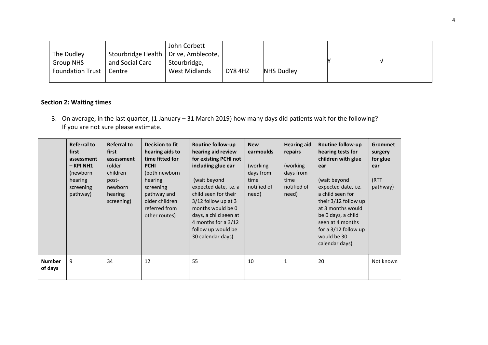|                         |                                        | John Corbett  |         |            |  |
|-------------------------|----------------------------------------|---------------|---------|------------|--|
| The Dudley              | Stourbridge Health   Drive, Amblecote, |               |         |            |  |
| <b>Group NHS</b>        | and Social Care                        | Stourbridge,  |         |            |  |
| <b>Foundation Trust</b> | Centre                                 | West Midlands | DY8 4HZ | NHS Dudley |  |
|                         |                                        |               |         |            |  |

## **Section 2: Waiting times**

3. On average, in the last quarter, (1 January – 31 March 2019) how many days did patients wait for the following? If you are not sure please estimate.

|                          | <b>Referral to</b><br>first<br>assessment<br>$-$ KPI NH1<br>(newborn)<br>hearing<br>screening<br>pathway) | <b>Referral to</b><br>first<br>assessment<br>(older<br>children<br>post-<br>newborn<br>hearing<br>screening) | Decision to fit<br>hearing aids to<br>time fitted for<br><b>PCHI</b><br>(both newborn<br>hearing<br>screening<br>pathway and<br>older children<br>referred from<br>other routes) | <b>Routine follow-up</b><br>hearing aid review<br>for existing PCHI not<br>including glue ear<br>(wait beyond<br>expected date, i.e. a<br>child seen for their<br>$3/12$ follow up at 3<br>months would be 0<br>days, a child seen at<br>4 months for a 3/12<br>follow up would be<br>30 calendar days) | <b>New</b><br>earmoulds<br>(working)<br>days from<br>time<br>notified of<br>need) | <b>Hearing aid</b><br>repairs<br>(working)<br>days from<br>time<br>notified of<br>need) | Routine follow-up<br>hearing tests for<br>children with glue<br>ear<br>(wait beyond<br>expected date, i.e.<br>a child seen for<br>their 3/12 follow up<br>at 3 months would<br>be 0 days, a child<br>seen at 4 months<br>for a $3/12$ follow up<br>would be 30<br>calendar days) | <b>Grommet</b><br>surgery<br>for glue<br>ear<br>(RTT<br>pathway) |
|--------------------------|-----------------------------------------------------------------------------------------------------------|--------------------------------------------------------------------------------------------------------------|----------------------------------------------------------------------------------------------------------------------------------------------------------------------------------|---------------------------------------------------------------------------------------------------------------------------------------------------------------------------------------------------------------------------------------------------------------------------------------------------------|-----------------------------------------------------------------------------------|-----------------------------------------------------------------------------------------|----------------------------------------------------------------------------------------------------------------------------------------------------------------------------------------------------------------------------------------------------------------------------------|------------------------------------------------------------------|
| <b>Number</b><br>of days | 9                                                                                                         | 34                                                                                                           | 12                                                                                                                                                                               | 55                                                                                                                                                                                                                                                                                                      | 10                                                                                | 1                                                                                       | 20                                                                                                                                                                                                                                                                               | Not known                                                        |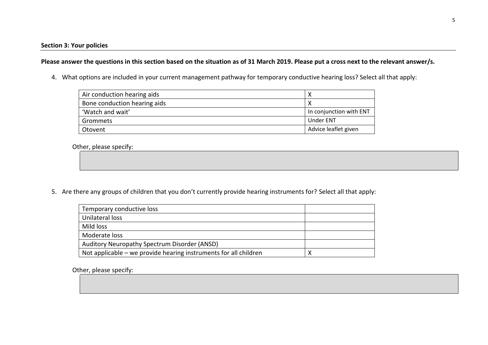**Please answer the questions in this section based on the situation as of 31 March 2019. Please put a cross next to the relevant answer/s.**

4. What options are included in your current management pathway for temporary conductive hearing loss? Select all that apply:

| Air conduction hearing aids  |                         |
|------------------------------|-------------------------|
| Bone conduction hearing aids |                         |
| 'Watch and wait'             | In conjunction with ENT |
| Grommets                     | <b>Under ENT</b>        |
| Otovent                      | Advice leaflet given    |

Other, please specify:

5. Are there any groups of children that you don't currently provide hearing instruments for? Select all that apply:

| Temporary conductive loss                                        |  |
|------------------------------------------------------------------|--|
| Unilateral loss                                                  |  |
| Mild loss                                                        |  |
| Moderate loss                                                    |  |
| Auditory Neuropathy Spectrum Disorder (ANSD)                     |  |
| Not applicable – we provide hearing instruments for all children |  |

Other, please specify: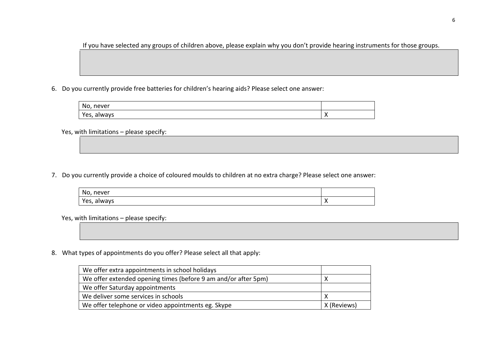If you have selected any groups of children above, please explain why you don't provide hearing instruments for those groups.

6. Do you currently provide free batteries for children's hearing aids? Please select one answer:

| No<br>never<br>$\cdot$ . |     |
|--------------------------|-----|
| Yes,                     | . . |
| always                   |     |

Yes, with limitations – please specify:

7. Do you currently provide a choice of coloured moulds to children at no extra charge? Please select one answer:

| No,<br>never   |          |
|----------------|----------|
| Yes,<br>always | $\cdots$ |

Yes, with limitations – please specify:

8. What types of appointments do you offer? Please select all that apply:

| We offer extra appointments in school holidays                 |             |
|----------------------------------------------------------------|-------------|
| We offer extended opening times (before 9 am and/or after 5pm) |             |
| We offer Saturday appointments                                 |             |
| We deliver some services in schools                            |             |
| We offer telephone or video appointments eg. Skype             | X (Reviews) |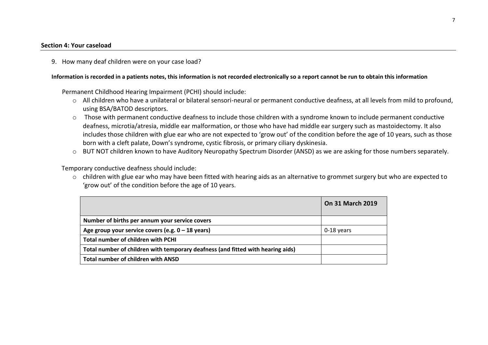#### **Section 4: Your caseload**

9. How many deaf children were on your case load?

#### **Information is recorded in a patients notes, this information is not recorded electronically so a report cannot be run to obtain this information**

Permanent Childhood Hearing Impairment (PCHI) should include:

- o All children who have a unilateral or bilateral sensori-neural or permanent conductive deafness, at all levels from mild to profound, using BSA/BATOD descriptors.
- o Those with permanent conductive deafness to include those children with a syndrome known to include permanent conductive deafness, microtia/atresia, middle ear malformation, or those who have had middle ear surgery such as mastoidectomy. It also includes those children with glue ear who are not expected to 'grow out' of the condition before the age of 10 years, such as those born with a cleft palate, Down's syndrome, cystic fibrosis, or primary ciliary dyskinesia.
- o BUT NOT children known to have Auditory Neuropathy Spectrum Disorder (ANSD) as we are asking for those numbers separately.

Temporary conductive deafness should include:

o children with glue ear who may have been fitted with hearing aids as an alternative to grommet surgery but who are expected to 'grow out' of the condition before the age of 10 years.

|                                                                                 | <b>On 31 March 2019</b> |
|---------------------------------------------------------------------------------|-------------------------|
| Number of births per annum your service covers                                  |                         |
| Age group your service covers (e.g. $0 - 18$ years)                             | 0-18 years              |
| <b>Total number of children with PCHI</b>                                       |                         |
| Total number of children with temporary deafness (and fitted with hearing aids) |                         |
| Total number of children with ANSD                                              |                         |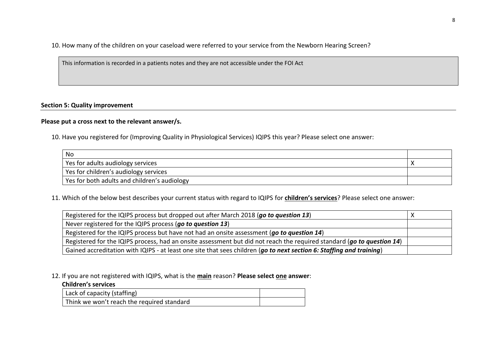10. How many of the children on your caseload were referred to your service from the Newborn Hearing Screen?

This information is recorded in a patients notes and they are not accessible under the FOI Act

### **Section 5: Quality improvement**

### **Please put a cross next to the relevant answer/s.**

10. Have you registered for (Improving Quality in Physiological Services) IQIPS this year? Please select one answer:

| No                                           |  |
|----------------------------------------------|--|
| Yes for adults audiology services            |  |
| Yes for children's audiology services        |  |
| Yes for both adults and children's audiology |  |

11. Which of the below best describes your current status with regard to IQIPS for **children's services**? Please select one answer:

| Registered for the IQIPS process but dropped out after March 2018 (go to question 13)                                  |  |
|------------------------------------------------------------------------------------------------------------------------|--|
| Never registered for the IQIPS process (go to question 13)                                                             |  |
| Registered for the IQIPS process but have not had an onsite assessment (go to question 14)                             |  |
| Registered for the IQIPS process, had an onsite assessment but did not reach the required standard (go to question 14) |  |
| Gained accreditation with IQIPS - at least one site that sees children (go to next section 6: Staffing and training)   |  |

12. If you are not registered with IQIPS, what is the **main** reason? **Please select one answer**:

### **Children's services**

| Lack of capacity (staffing)                |  |
|--------------------------------------------|--|
| Think we won't reach the required standard |  |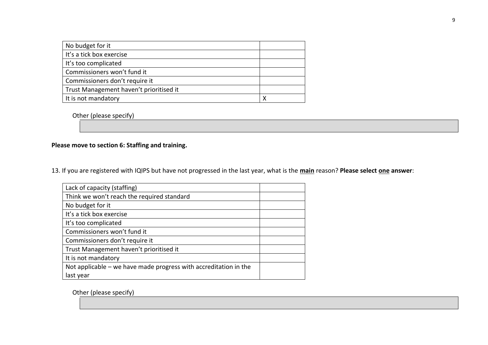| No budget for it                        |  |
|-----------------------------------------|--|
| It's a tick box exercise                |  |
|                                         |  |
| It's too complicated                    |  |
| Commissioners won't fund it             |  |
| Commissioners don't require it          |  |
| Trust Management haven't prioritised it |  |
| It is not mandatory                     |  |

Other (please specify)

## **Please move to section 6: Staffing and training.**

13. If you are registered with IQIPS but have not progressed in the last year, what is the **main** reason? **Please select one answer**:

| Lack of capacity (staffing)                                      |  |
|------------------------------------------------------------------|--|
| Think we won't reach the required standard                       |  |
| No budget for it                                                 |  |
| It's a tick box exercise                                         |  |
| It's too complicated                                             |  |
| Commissioners won't fund it                                      |  |
| Commissioners don't require it                                   |  |
| Trust Management haven't prioritised it                          |  |
| It is not mandatory                                              |  |
| Not applicable – we have made progress with accreditation in the |  |
| last year                                                        |  |

Other (please specify)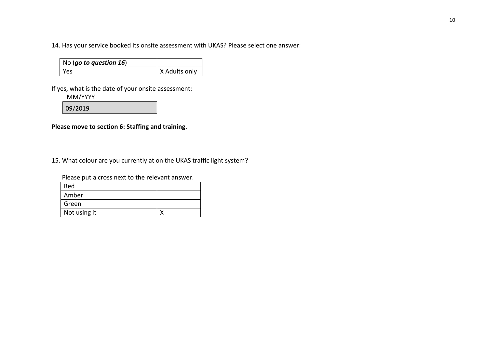14. Has your service booked its onsite assessment with UKAS? Please select one answer:

| No (go to question $16$ ) |               |
|---------------------------|---------------|
| Yes                       | X Adults only |

If yes, what is the date of your onsite assessment:

MM/YYYY

09/2019

**Please move to section 6: Staffing and training.**

15. What colour are you currently at on the UKAS traffic light system?

Please put a cross next to the relevant answer.

| Red          |  |
|--------------|--|
| Amber        |  |
| Green        |  |
| Not using it |  |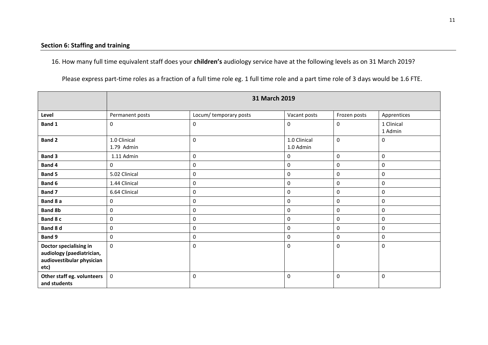16. How many full time equivalent staff does your **children's** audiology service have at the following levels as on 31 March 2019?

Please express part-time roles as a fraction of a full time role eg. 1 full time role and a part time role of 3 days would be 1.6 FTE.

|                                                                                          | 31 March 2019              |                       |                           |                  |                       |
|------------------------------------------------------------------------------------------|----------------------------|-----------------------|---------------------------|------------------|-----------------------|
| Level                                                                                    | Permanent posts            | Locum/temporary posts | Vacant posts              | Frozen posts     | Apprentices           |
| Band 1                                                                                   | $\mathbf 0$                | 0                     | $\mathbf 0$               | $\mathbf 0$      | 1 Clinical<br>1 Admin |
| <b>Band 2</b>                                                                            | 1.0 Clinical<br>1.79 Admin | $\mathbf 0$           | 1.0 Clinical<br>1.0 Admin | $\mathbf 0$      | 0                     |
| Band 3                                                                                   | 1.11 Admin                 | 0                     | 0                         | $\mathbf 0$      | 0                     |
| Band 4                                                                                   | $\mathbf 0$                | 0                     | 0                         | $\boldsymbol{0}$ | 0                     |
| <b>Band 5</b>                                                                            | 5.02 Clinical              | 0                     | 0                         | $\mathbf 0$      | 0                     |
| Band 6                                                                                   | 1.44 Clinical              | 0                     | 0                         | $\mathbf 0$      | 0                     |
| Band 7                                                                                   | 6.64 Clinical              | 0                     | 0                         | $\mathbf 0$      | 0                     |
| Band 8 a                                                                                 | 0                          | 0                     | 0                         | $\pmb{0}$        | 0                     |
| <b>Band 8b</b>                                                                           | 0                          | 0                     | 0                         | $\mathbf 0$      | 0                     |
| Band 8 c                                                                                 | $\mathbf 0$                | 0                     | 0                         | $\mathbf 0$      | 0                     |
| Band 8 d                                                                                 | $\mathbf 0$                | 0                     | 0                         | $\mathbf 0$      | 0                     |
| Band 9                                                                                   | 0                          | 0                     | 0                         | $\mathbf 0$      | 0                     |
| Doctor specialising in<br>audiology (paediatrician,<br>audiovestibular physician<br>etc) | $\mathbf 0$                | 0                     | 0                         | 0                | 0                     |
| Other staff eg. volunteers<br>and students                                               | $\mathbf 0$                | 0                     | $\mathbf 0$               | $\mathbf 0$      | 0                     |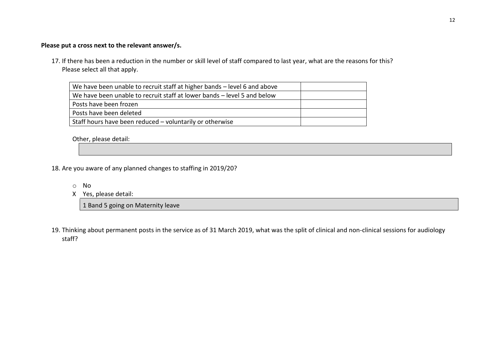### **Please put a cross next to the relevant answer/s.**

17. If there has been a reduction in the number or skill level of staff compared to last year, what are the reasons for this? Please select all that apply.

| We have been unable to recruit staff at higher bands – level 6 and above |  |
|--------------------------------------------------------------------------|--|
| We have been unable to recruit staff at lower bands – level 5 and below  |  |
| Posts have been frozen                                                   |  |
| Posts have been deleted                                                  |  |
| Staff hours have been reduced - voluntarily or otherwise                 |  |

Other, please detail:

- 18. Are you aware of any planned changes to staffing in 2019/20?
	- o No
	- X Yes, please detail:

1 Band 5 going on Maternity leave

19. Thinking about permanent posts in the service as of 31 March 2019, what was the split of clinical and non-clinical sessions for audiology staff?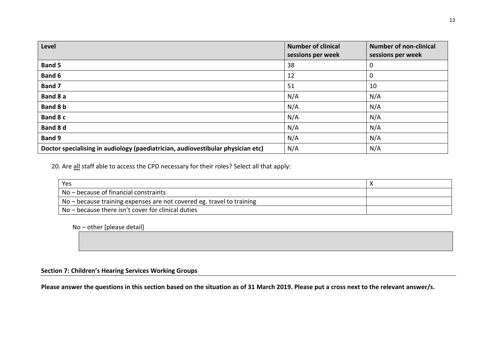| Level                                                                           | <b>Number of clinical</b><br>sessions per week | <b>Number of non-clinical</b><br>sessions per week |
|---------------------------------------------------------------------------------|------------------------------------------------|----------------------------------------------------|
| <b>Band 5</b>                                                                   | 38                                             | $\Omega$                                           |
| Band 6                                                                          | 12                                             | 0                                                  |
| Band 7                                                                          | 51                                             | 10                                                 |
| Band 8 a                                                                        | N/A                                            | N/A                                                |
| Band 8 b                                                                        | N/A                                            | N/A                                                |
| Band 8 c                                                                        | N/A                                            | N/A                                                |
| Band 8 d                                                                        | N/A                                            | N/A                                                |
| Band 9                                                                          | N/A                                            | N/A                                                |
| Doctor specialising in audiology (paediatrician, audiovestibular physician etc) | N/A                                            | N/A                                                |

20. Are all staff able to access the CPD necessary for their roles? Select all that apply:

| Yes                                                                     |  |
|-------------------------------------------------------------------------|--|
| No – because of financial constraints                                   |  |
| $No - because training expenses are not covered eg. travel to training$ |  |
| No - because there isn't cover for clinical duties                      |  |

No – other [please detail]

### **Section 7: Children's Hearing Services Working Groups**

**Please answer the questions in this section based on the situation as of 31 March 2019. Please put a cross next to the relevant answer/s.**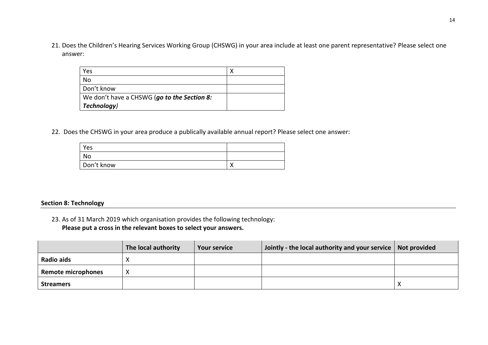21. Does the Children's Hearing Services Working Group (CHSWG) in your area include at least one parent representative? Please select one answer:

| Yes                                         |  |
|---------------------------------------------|--|
| No                                          |  |
| Don't know                                  |  |
| We don't have a CHSWG (go to the Section 8: |  |
| Technology)                                 |  |

22. Does the CHSWG in your area produce a publically available annual report? Please select one answer:

| Yes        |                |
|------------|----------------|
| No         |                |
| Don't know | `<br>$\lambda$ |

### **Section 8: Technology**

23. As of 31 March 2019 which organisation provides the following technology:

**Please put a cross in the relevant boxes to select your answers.** 

|                           | The local authority | <b>Your service</b> | Jointly - the local authority and your service   Not provided |  |
|---------------------------|---------------------|---------------------|---------------------------------------------------------------|--|
| Radio aids                |                     |                     |                                                               |  |
| <b>Remote microphones</b> | v<br>Λ              |                     |                                                               |  |
| <b>Streamers</b>          |                     |                     |                                                               |  |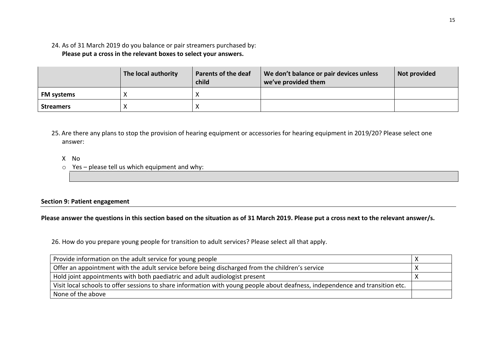### 24. As of 31 March 2019 do you balance or pair streamers purchased by: **Please put a cross in the relevant boxes to select your answers.**

|                   | The local authority | <b>Parents of the deaf</b><br>child | We don't balance or pair devices unless<br>we've provided them | Not provided |
|-------------------|---------------------|-------------------------------------|----------------------------------------------------------------|--------------|
| <b>FM systems</b> |                     |                                     |                                                                |              |
| <b>Streamers</b>  |                     | $\sqrt{ }$                          |                                                                |              |

- 25. Are there any plans to stop the provision of hearing equipment or accessories for hearing equipment in 2019/20? Please select one answer:
	- X No
	- $\circ$  Yes please tell us which equipment and why:

### **Section 9: Patient engagement**

### **Please answer the questions in this section based on the situation as of 31 March 2019. Please put a cross next to the relevant answer/s.**

26. How do you prepare young people for transition to adult services? Please select all that apply.

| Provide information on the adult service for young people                                                                     |  |
|-------------------------------------------------------------------------------------------------------------------------------|--|
| Offer an appointment with the adult service before being discharged from the children's service                               |  |
| Hold joint appointments with both paediatric and adult audiologist present                                                    |  |
| Visit local schools to offer sessions to share information with young people about deafness, independence and transition etc. |  |
| None of the above                                                                                                             |  |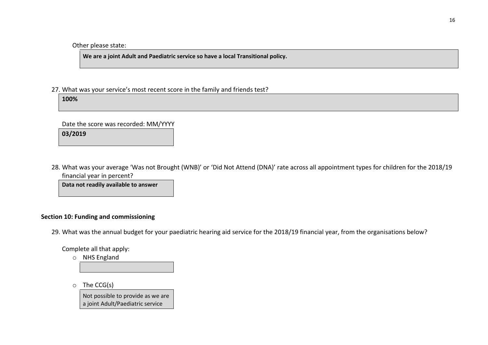### Other please state:

**We are a joint Adult and Paediatric service so have a local Transitional policy.**

27. What was your service's most recent score in the family and friends test?

**100%**

Date the score was recorded: MM/YYYY **03/2019**

28. What was your average 'Was not Brought (WNB)' or 'Did Not Attend (DNA)' rate across all appointment types for children for the 2018/19 financial year in percent?

**Data not readily available to answer**

### **Section 10: Funding and commissioning**

29. What was the annual budget for your paediatric hearing aid service for the 2018/19 financial year, from the organisations below?

Complete all that apply:

o NHS England

o The CCG(s)

Not possible to provide as we are a joint Adult/Paediatric service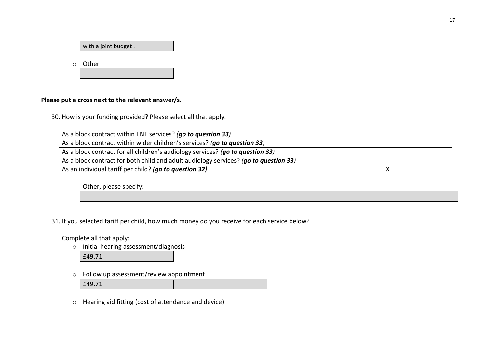with a joint budget .

o Other

### **Please put a cross next to the relevant answer/s.**

30. How is your funding provided? Please select all that apply.

| As a block contract within ENT services? (go to question 33)                         |  |
|--------------------------------------------------------------------------------------|--|
| As a block contract within wider children's services? (go to question 33)            |  |
| As a block contract for all children's audiology services? (go to question 33)       |  |
| As a block contract for both child and adult audiology services? (go to question 33) |  |
| As an individual tariff per child? (go to question 32)                               |  |

Other, please specify:

31. If you selected tariff per child, how much money do you receive for each service below?

Complete all that apply:

o Initial hearing assessment/diagnosis

£49.71

o Follow up assessment/review appointment

£49.71

o Hearing aid fitting (cost of attendance and device)